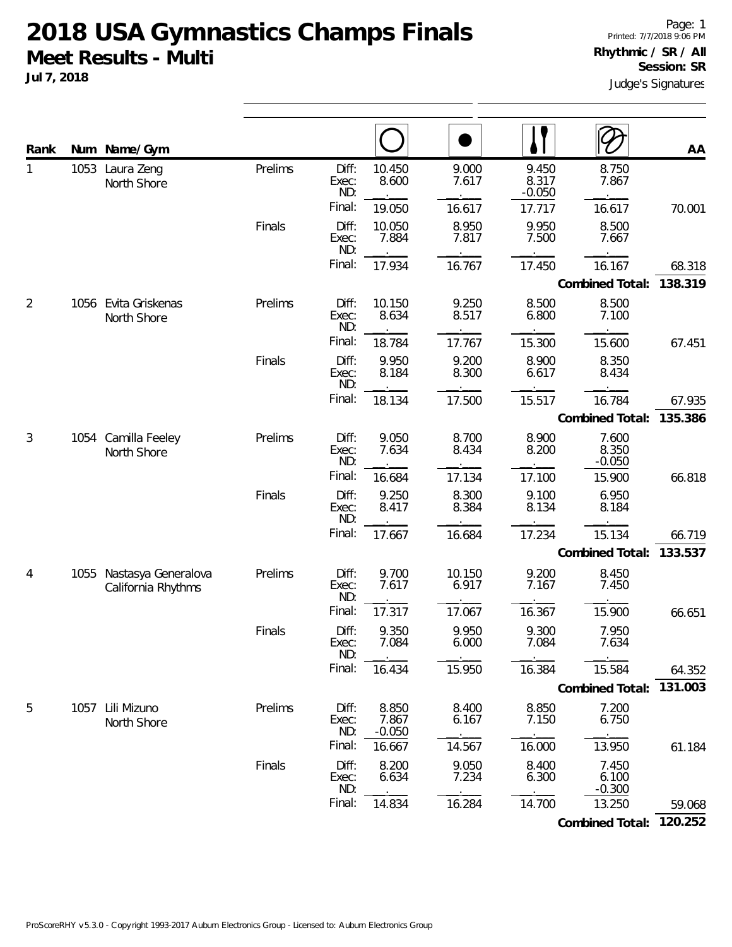**2018 USA Gymnastics Champs Finals Meet Results - Multi**

| Rank |      | Num Name/Gym                              |         |                       |                            |                 |                            |                            | AA      |
|------|------|-------------------------------------------|---------|-----------------------|----------------------------|-----------------|----------------------------|----------------------------|---------|
| 1    | 1053 | Laura Zeng<br>North Shore                 | Prelims | Diff:<br>Exec:<br>ND: | 10.450<br>8.600            | 9.000<br>7.617  | 9.450<br>8.317<br>$-0.050$ | 8.750<br>7.867             |         |
|      |      |                                           |         | Final:                | 19.050                     | 16.617          | 17.717                     | 16.617                     | 70.001  |
|      |      |                                           | Finals  | Diff:<br>Exec:<br>ND: | 10.050<br>7.884            | 8.950<br>7.817  | 9.950<br>7.500             | 8.500<br>7.667             |         |
|      |      |                                           |         | Final:                | 17.934                     | 16.767          | 17.450                     | 16.167                     | 68.318  |
|      |      |                                           |         |                       |                            |                 |                            | Combined Total:            | 138.319 |
| 2    | 1056 | Evita Griskenas<br>North Shore            | Prelims | Diff:<br>Exec:<br>ND: | 10.150<br>8.634            | 9.250<br>8.517  | 8.500<br>6.800             | 8.500<br>7.100             |         |
|      |      |                                           |         | Final:                | 18.784                     | 17.767          | 15.300                     | 15.600                     | 67.451  |
|      |      |                                           | Finals  | Diff:<br>Exec:<br>ND: | 9.950<br>8.184             | 9.200<br>8.300  | 8.900<br>6.617             | 8.350<br>8.434             |         |
|      |      |                                           |         | Final:                | 18.134                     | 17.500          | 15.517                     | 16.784                     | 67.935  |
|      |      |                                           |         |                       |                            |                 |                            | Combined Total:            | 135.386 |
| 3    | 1054 | Camilla Feeley<br>North Shore             | Prelims | Diff:<br>Exec:<br>ND: | 9.050<br>7.634             | 8.700<br>8.434  | 8.900<br>8.200             | 7.600<br>8.350<br>$-0.050$ |         |
|      |      |                                           |         | Final:                | 16.684                     | 17.134          | 17.100                     | 15.900                     | 66.818  |
|      |      |                                           | Finals  | Diff:<br>Exec:<br>ND: | 9.250<br>8.417             | 8.300<br>8.384  | 9.100<br>8.134             | 6.950<br>8.184             |         |
|      |      |                                           |         | Final:                | 17.667                     | 16.684          | 17.234                     | 15.134                     | 66.719  |
|      |      |                                           |         |                       |                            |                 |                            | Combined Total:            | 133.537 |
| 4    | 1055 | Nastasya Generalova<br>California Rhythms | Prelims | Diff:<br>Exec:<br>ND: | 9.700<br>7.617             | 10.150<br>6.917 | 9.200<br>7.167             | 8.450<br>7.450             |         |
|      |      |                                           |         | Final:                | 17.317                     | 17.067          | 16.367                     | 15.900                     | 66.651  |
|      |      |                                           | Finals  | Diff:<br>Exec:<br>ND: | 9.350<br>7.084             | 9.950<br>6.000  | 9.300<br>7.084             | 7.950<br>7.634             |         |
|      |      |                                           |         | Final:                | 16.434                     | 15.950          | 16.384                     | 15.584                     | 64.352  |
|      |      |                                           |         |                       |                            |                 |                            | Combined Total: 131.003    |         |
| 5    | 1057 | Lili Mizuno<br>North Shore                | Prelims | Diff:<br>Exec:<br>ND: | 8.850<br>7.867<br>$-0.050$ | 8.400<br>6.167  | 8.850<br>7.150             | 7.200<br>6.750             |         |
|      |      |                                           |         | Final:                | 16.667                     | 14.567          | 16.000                     | 13.950                     | 61.184  |
|      |      |                                           | Finals  | Diff:<br>Exec:<br>ND: | 8.200<br>6.634             | 9.050<br>7.234  | 8.400<br>6.300             | 7.450<br>6.100<br>$-0.300$ |         |
|      |      |                                           |         | Final:                | 14.834                     | 16.284          | 14.700                     | 13.250                     | 59.068  |

 $\overline{a}$ 

**Combined Total: 120.252**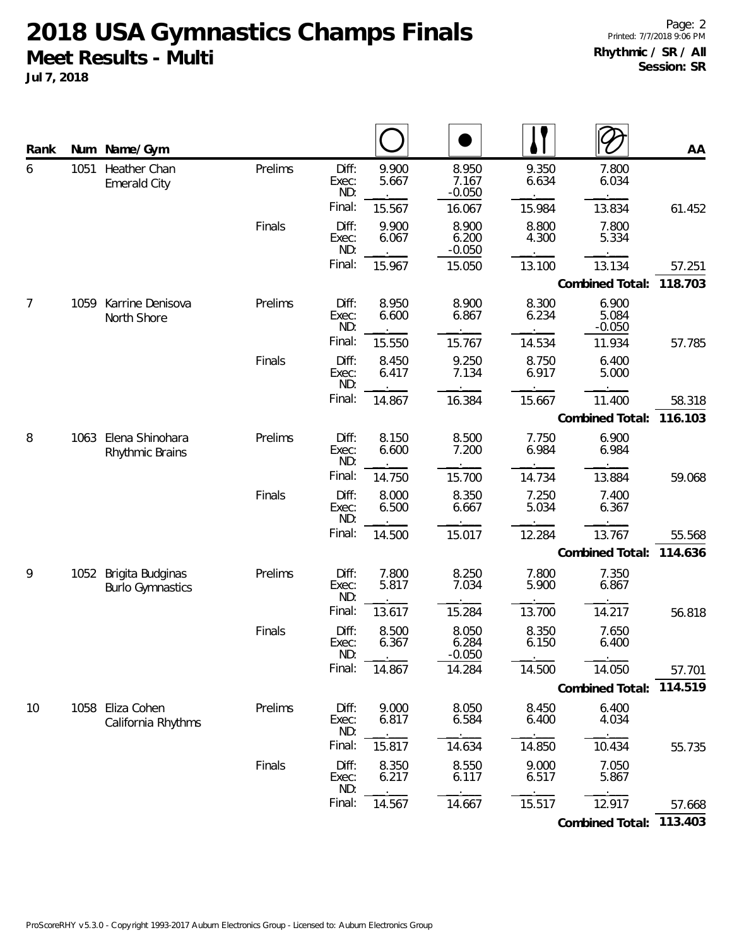**2018 USA Gymnastics Champs Finals Meet Results - Multi**

**Jul 7, 2018**

| Rank           |      | Num Name/Gym                                     |         |                       |                |                            |                |                            | AA      |
|----------------|------|--------------------------------------------------|---------|-----------------------|----------------|----------------------------|----------------|----------------------------|---------|
| 6              | 1051 | Heather Chan<br><b>Emerald City</b>              | Prelims | Diff:<br>Exec:<br>ND: | 9.900<br>5.667 | 8.950<br>7.167<br>$-0.050$ | 9.350<br>6.634 | 7.800<br>6.034             |         |
|                |      |                                                  |         | Final:                | 15.567         | 16.067                     | 15.984         | 13.834                     | 61.452  |
|                |      |                                                  | Finals  | Diff:<br>Exec:<br>ND: | 9.900<br>6.067 | 8.900<br>6.200<br>$-0.050$ | 8.800<br>4.300 | 7.800<br>5.334             |         |
|                |      |                                                  |         | Final:                | 15.967         | 15.050                     | 13.100         | 13.134                     | 57.251  |
|                |      |                                                  |         |                       |                |                            |                | Combined Total:            | 118.703 |
| $\overline{7}$ | 1059 | Karrine Denisova<br>North Shore                  | Prelims | Diff:<br>Exec:<br>ND: | 8.950<br>6.600 | 8.900<br>6.867             | 8.300<br>6.234 | 6.900<br>5.084<br>$-0.050$ |         |
|                |      |                                                  |         | Final:                | 15.550         | 15.767                     | 14.534         | 11.934                     | 57.785  |
|                |      |                                                  | Finals  | Diff:<br>Exec:<br>ND: | 8.450<br>6.417 | 9.250<br>7.134             | 8.750<br>6.917 | 6.400<br>5.000             |         |
|                |      |                                                  |         | Final:                | 14.867         | 16.384                     | 15.667         | 11.400                     | 58.318  |
|                |      |                                                  |         |                       |                |                            |                | Combined Total:            | 116.103 |
| 8              | 1063 | Elena Shinohara<br>Rhythmic Brains               | Prelims | Diff:<br>Exec:<br>ND: | 8.150<br>6.600 | 8.500<br>7.200             | 7.750<br>6.984 | 6.900<br>6.984             |         |
|                |      |                                                  |         | Final:                | 14.750         | 15.700                     | 14.734         | 13.884                     | 59.068  |
|                |      |                                                  | Finals  | Diff:<br>Exec:<br>ND: | 8.000<br>6.500 | 8.350<br>6.667             | 7.250<br>5.034 | 7.400<br>6.367             |         |
|                |      |                                                  |         | Final:                | 14.500         | 15.017                     | 12.284         | 13.767                     | 55.568  |
|                |      |                                                  |         |                       |                |                            |                | Combined Total:            | 114.636 |
| 9              |      | 1052 Brigita Budginas<br><b>Burlo Gymnastics</b> | Prelims | Diff:<br>Exec:<br>ND: | 7.800<br>5.817 | 8.250<br>7.034             | 7.800<br>5.900 | 7.350<br>6.867             |         |
|                |      |                                                  |         | Final:                | 13.617         | 15.284                     | 13.700         | 14.217                     | 56.818  |
|                |      |                                                  | Finals  | Diff:<br>Exec:<br>ND: | 8.500<br>6.367 | 8.050<br>6.284<br>$-0.050$ | 8.350<br>6.150 | 7.650<br>6.400             |         |
|                |      |                                                  |         | Final:                | 14.867         | 14.284                     | 14.500         | 14.050                     | 57.701  |
|                |      |                                                  |         |                       |                |                            |                | Combined Total:            | 114.519 |
| 10             |      | 1058 Eliza Cohen<br>California Rhythms           | Prelims | Diff:<br>Exec:<br>ND: | 9.000<br>6.817 | 8.050<br>6.584             | 8.450<br>6.400 | 6.400<br>4.034             |         |
|                |      |                                                  |         | Final:                | 15.817         | 14.634                     | 14.850         | 10.434                     | 55.735  |
|                |      |                                                  | Finals  | Diff:<br>Exec:<br>ND: | 8.350<br>6.217 | 8.550<br>6.117             | 9.000<br>6.517 | 7.050<br>5.867             |         |
|                |      |                                                  |         | Final:                | 14.567         | 14.667                     | 15.517         | 12.917                     | 57.668  |
|                |      |                                                  |         |                       |                |                            |                | Combined Total:            | 113.403 |